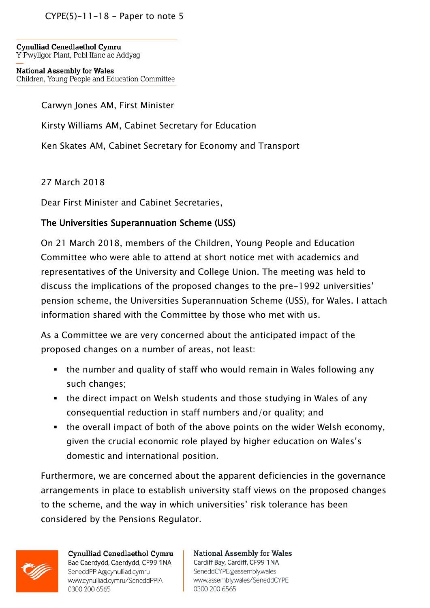$CYPE(5)-11-18 - Paper to note 5$ 

**Cynulliad Cenedlaethol Cymru** Y Pwyllgor Plant, Pobl Ifanc ac Addysg

**National Assembly for Wales** Children, Young People and Education Committee

Carwyn Jones AM, First Minister

Kirsty Williams AM, Cabinet Secretary for Education

Ken Skates AM, Cabinet Secretary for Economy and Transport

27 March 2018

Dear First Minister and Cabinet Secretaries,

## The Universities Superannuation Scheme (USS)

On 21 March 2018, members of the Children, Young People and Education Committee who were able to attend at short notice met with academics and representatives of the University and College Union. The meeting was held to discuss the implications of the proposed changes to the pre-1992 universities' pension scheme, the Universities Superannuation Scheme (USS), for Wales. I attach information shared with the Committee by those who met with us.

As a Committee we are very concerned about the anticipated impact of the proposed changes on a number of areas, not least:

- the number and quality of staff who would remain in Wales following any such changes;
- the direct impact on Welsh students and those studying in Wales of any consequential reduction in staff numbers and/or quality; and
- the overall impact of both of the above points on the wider Welsh economy, given the crucial economic role played by higher education on Wales's domestic and international position.

Furthermore, we are concerned about the apparent deficiencies in the governance arrangements in place to establish university staff views on the proposed changes to the scheme, and the way in which universities' risk tolerance has been considered by the Pensions Regulator.



Cynulliad Cenedlaethol Cymru Bae Caerdydd, Caerdydd, CF99 1NA SeneddPPIA@cynulliad.cymru www.cynulliad.cymru/SeneddPPIA 0300 200 6565

**National Assembly for Wales** Cardiff Bay, Cardiff, CF99 1NA SeneddCYPE@assembly.wales www.assembly.wales/SeneddCYPE 0300 200 6565